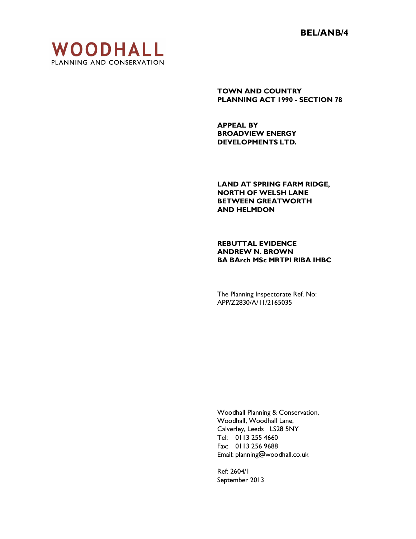**BEL/ANB/4**



**TOWN AND COUNTRY PLANNING ACT 1990 - SECTION 78**

**APPEAL BY BROADVIEW ENERGY DEVELOPMENTS LTD.** 

**LAND AT SPRING FARM RIDGE, NORTH OF WELSH LANE BETWEEN GREATWORTH AND HELMDON**

**REBUTTAL EVIDENCE ANDREW N. BROWN BA BArch MSc MRTPI RIBA IHBC**

The Planning Inspectorate Ref. No: APP/Z2830/A/11/2165035

Woodhall Planning & Conservation, Woodhall, Woodhall Lane, Calverley, Leeds LS28 5NY Tel: 0113 255 4660 Fax: 0113 256 9688 Email: planning@woodhall.co.uk

Ref: 2604/1 September 2013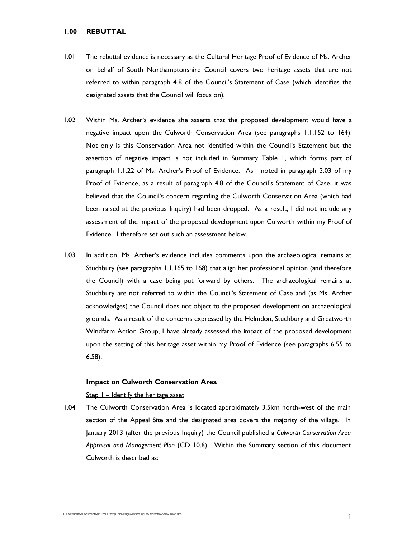## **1.00 REBUTTAL**

- 1.01 The rebuttal evidence is necessary as the Cultural Heritage Proof of Evidence of Ms. Archer on behalf of South Northamptonshire Council covers two heritage assets that are not referred to within paragraph 4.8 of the Council's Statement of Case (which identifies the designated assets that the Council will focus on).
- 1.02 Within Ms. Archer's evidence she asserts that the proposed development would have a negative impact upon the Culworth Conservation Area (see paragraphs 1.1.152 to 164). Not only is this Conservation Area not identified within the Council's Statement but the assertion of negative impact is not included in Summary Table 1, which forms part of paragraph 1.1.22 of Ms. Archer's Proof of Evidence. As I noted in paragraph 3.03 of my Proof of Evidence, as a result of paragraph 4.8 of the Council's Statement of Case, it was believed that the Council's concern regarding the Culworth Conservation Area (which had been raised at the previous Inquiry) had been dropped. As a result, I did not include any assessment of the impact of the proposed development upon Culworth within my Proof of Evidence. I therefore set out such an assessment below.
- 1.03 In addition, Ms. Archer's evidence includes comments upon the archaeological remains at Stuchbury (see paragraphs 1.1.165 to 168) that align her professional opinion (and therefore the Council) with a case being put forward by others. The archaeological remains at Stuchbury are not referred to within the Council's Statement of Case and (as Ms. Archer acknowledges) the Council does not object to the proposed development on archaeological grounds. As a result of the concerns expressed by the Helmdon, Stuchbury and Greatworth Windfarm Action Group, I have already assessed the impact of the proposed development upon the setting of this heritage asset within my Proof of Evidence (see paragraphs 6.55 to 6.58).

### **Impact on Culworth Conservation Area**

# Step I - Identify the heritage asset

1.04 The Culworth Conservation Area is located approximately 3.5km north-west of the main section of the Appeal Site and the designated area covers the majority of the village. In January 2013 (after the previous Inquiry) the Council published a *Culworth Conservation Area Appraisal and Management Plan* (CD 10.6). Within the Summary section of this document Culworth is described as: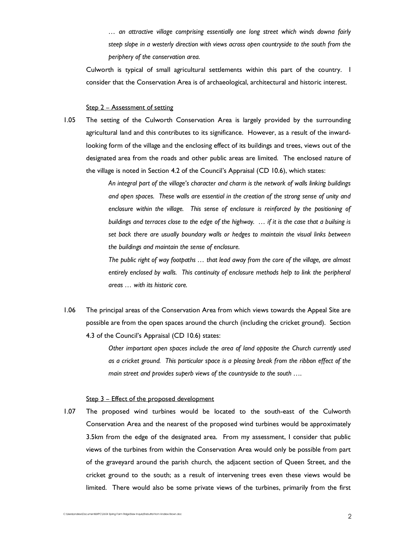*… an attractive village comprising essentially one long street which winds downa fairly steep slope in a westerly direction with views across open countryside to the south from the periphery of the conservation area.*

Culworth is typical of small agricultural settlements within this part of the country. I consider that the Conservation Area is of archaeological, architectural and historic interest.

### Step 2 – Assessment of setting

1.05 The setting of the Culworth Conservation Area is largely provided by the surrounding agricultural land and this contributes to its significance. However, as a result of the inwardlooking form of the village and the enclosing effect of its buildings and trees, views out of the designated area from the roads and other public areas are limited. The enclosed nature of the village is noted in Section 4.2 of the Council's Appraisal (CD 10.6), which states:

> *An integral part of the village's character and charm is the network of walls linking buildings and open spaces. These walls are essential in the creation of the strong sense of unity and enclosure within the village. This sense of enclosure is reinforced by the positioning of buildings and terraces close to the edge of the highway. … if it is the case that a builsing is set back there are usually boundary walls or hedges to maintain the visual links between the buildings and maintain the sense of enclosure.*

> *The public right of way footpaths … that lead away from the core of the village, are almost entirely enclosed by walls. This continuity of enclosure methods help to link the peripheral areas … with its historic core.*

1.06 The principal areas of the Conservation Area from which views towards the Appeal Site are possible are from the open spaces around the church (including the cricket ground). Section 4.3 of the Council's Appraisal (CD 10.6) states:

> *Other important open spaces include the area of land opposite the Church currently used as a cricket ground. This particular space is a pleasing break from the ribbon effect of the main street and provides superb views of the countryside to the south ….*

#### Step 3 – Effect of the proposed development

1.07 The proposed wind turbines would be located to the south-east of the Culworth Conservation Area and the nearest of the proposed wind turbines would be approximately 3.5km from the edge of the designated area. From my assessment, I consider that public views of the turbines from within the Conservation Area would only be possible from part of the graveyard around the parish church, the adjacent section of Queen Street, and the cricket ground to the south; as a result of intervening trees even these views would be limited. There would also be some private views of the turbines, primarily from the first